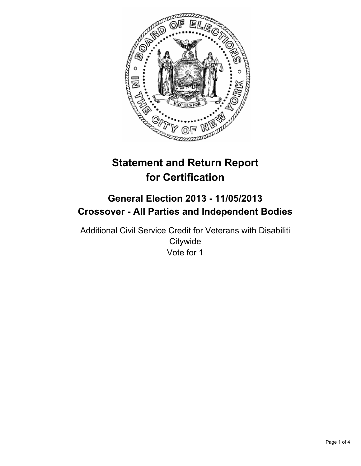

# **Statement and Return Report for Certification**

## **General Election 2013 - 11/05/2013 Crossover - All Parties and Independent Bodies**

Additional Civil Service Credit for Veterans with Disabiliti **Citywide** Vote for 1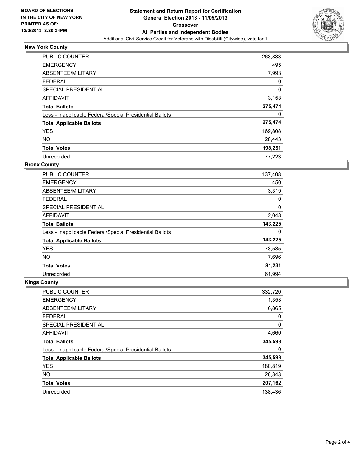

## **New York County**

| <b>PUBLIC COUNTER</b>                                    | 263,833 |
|----------------------------------------------------------|---------|
| <b>EMERGENCY</b>                                         | 495     |
| ABSENTEE/MILITARY                                        | 7,993   |
| <b>FEDERAL</b>                                           | 0       |
| <b>SPECIAL PRESIDENTIAL</b>                              | 0       |
| <b>AFFIDAVIT</b>                                         | 3,153   |
| <b>Total Ballots</b>                                     | 275,474 |
| Less - Inapplicable Federal/Special Presidential Ballots | 0       |
| <b>Total Applicable Ballots</b>                          | 275,474 |
| <b>YES</b>                                               | 169,808 |
| <b>NO</b>                                                | 28,443  |
| <b>Total Votes</b>                                       | 198,251 |
| Unrecorded                                               | 77.223  |

#### **Bronx County**

| <b>PUBLIC COUNTER</b>                                    | 137,408 |
|----------------------------------------------------------|---------|
| <b>EMERGENCY</b>                                         | 450     |
| ABSENTEE/MILITARY                                        | 3,319   |
| <b>FEDERAL</b>                                           | 0       |
| SPECIAL PRESIDENTIAL                                     | 0       |
| AFFIDAVIT                                                | 2,048   |
| <b>Total Ballots</b>                                     | 143,225 |
| Less - Inapplicable Federal/Special Presidential Ballots | 0       |
| <b>Total Applicable Ballots</b>                          | 143,225 |
| <b>YES</b>                                               | 73,535  |
| <b>NO</b>                                                | 7,696   |
| <b>Total Votes</b>                                       | 81,231  |
| Unrecorded                                               | 61,994  |

## **Kings County**

| <b>PUBLIC COUNTER</b>                                    | 332,720 |
|----------------------------------------------------------|---------|
| <b>EMERGENCY</b>                                         | 1,353   |
| ABSENTEE/MILITARY                                        | 6,865   |
| <b>FEDERAL</b>                                           | 0       |
| SPECIAL PRESIDENTIAL                                     | 0       |
| AFFIDAVIT                                                | 4,660   |
| <b>Total Ballots</b>                                     | 345,598 |
| Less - Inapplicable Federal/Special Presidential Ballots | 0       |
| <b>Total Applicable Ballots</b>                          | 345,598 |
| <b>YES</b>                                               | 180,819 |
| <b>NO</b>                                                | 26,343  |
| <b>Total Votes</b>                                       | 207,162 |
| Unrecorded                                               | 138.436 |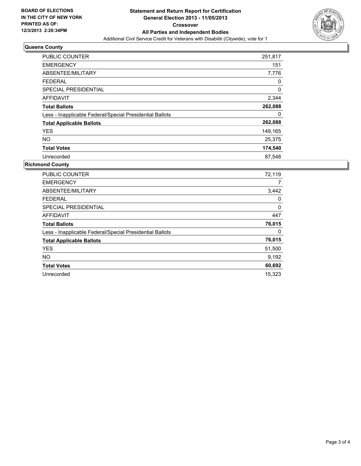

## **Queens County**

| <b>PUBLIC COUNTER</b>                                    | 251,817 |
|----------------------------------------------------------|---------|
| <b>EMERGENCY</b>                                         | 151     |
| ABSENTEE/MILITARY                                        | 7,776   |
| <b>FEDERAL</b>                                           | 0       |
| <b>SPECIAL PRESIDENTIAL</b>                              | 0       |
| <b>AFFIDAVIT</b>                                         | 2,344   |
| <b>Total Ballots</b>                                     | 262,088 |
| Less - Inapplicable Federal/Special Presidential Ballots | 0       |
| <b>Total Applicable Ballots</b>                          | 262,088 |
| <b>YES</b>                                               | 149,165 |
| NO.                                                      | 25,375  |
| <b>Total Votes</b>                                       | 174,540 |
| Unrecorded                                               | 87,548  |

## **Richmond County**

| <b>PUBLIC COUNTER</b>                                    | 72,119 |
|----------------------------------------------------------|--------|
| <b>EMERGENCY</b>                                         | 7      |
| ABSENTEE/MILITARY                                        | 3,442  |
| <b>FEDERAL</b>                                           | 0      |
| <b>SPECIAL PRESIDENTIAL</b>                              | 0      |
| <b>AFFIDAVIT</b>                                         | 447    |
| <b>Total Ballots</b>                                     | 76,015 |
| Less - Inapplicable Federal/Special Presidential Ballots | 0      |
| <b>Total Applicable Ballots</b>                          | 76,015 |
| <b>YES</b>                                               | 51,500 |
| <b>NO</b>                                                | 9,192  |
| <b>Total Votes</b>                                       | 60,692 |
| Unrecorded                                               | 15.323 |